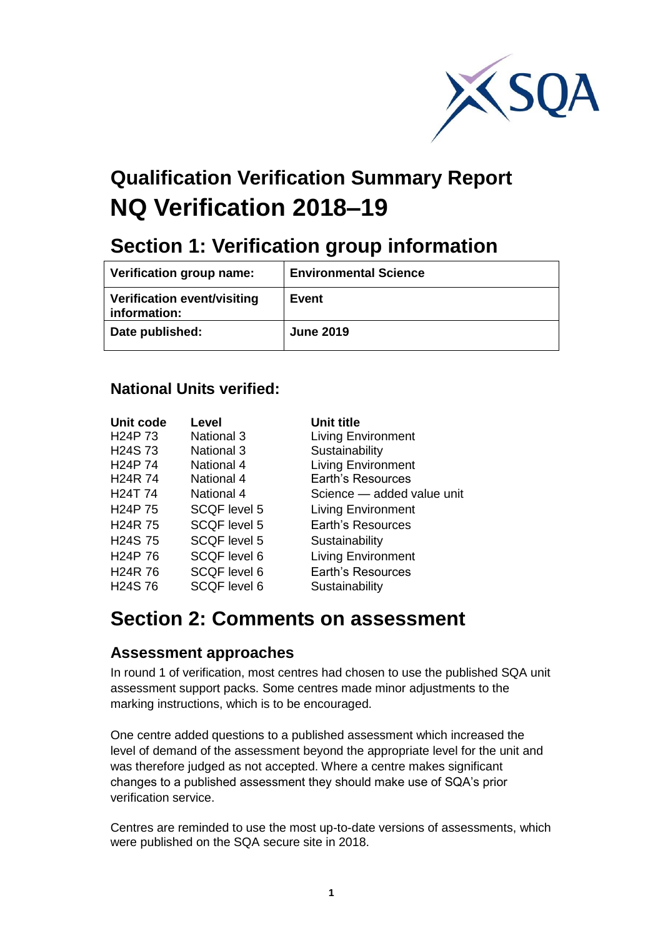

# **Qualification Verification Summary Report NQ Verification 2018–19**

## **Section 1: Verification group information**

| Verification group name:                    | <b>Environmental Science</b> |
|---------------------------------------------|------------------------------|
| Verification event/visiting<br>information: | Event                        |
| Date published:                             | <b>June 2019</b>             |

### **National Units verified:**

| Unit code            | Level               | <b>Unit title</b>          |
|----------------------|---------------------|----------------------------|
| H <sub>24</sub> P 73 | National 3          | <b>Living Environment</b>  |
| H <sub>24</sub> S 73 | <b>National 3</b>   | Sustainability             |
| H <sub>24</sub> P 74 | <b>National 4</b>   | <b>Living Environment</b>  |
| H <sub>24</sub> R 74 | National 4          | <b>Earth's Resources</b>   |
| H <sub>24</sub> T 74 | National 4          | Science - added value unit |
| H <sub>24</sub> P 75 | <b>SCQF level 5</b> | <b>Living Environment</b>  |
| H <sub>24</sub> R 75 | <b>SCQF level 5</b> | Earth's Resources          |
| H <sub>24</sub> S 75 | <b>SCQF level 5</b> | Sustainability             |
| H <sub>24</sub> P 76 | <b>SCQF level 6</b> | <b>Living Environment</b>  |
| H <sub>24</sub> R 76 | <b>SCQF level 6</b> | <b>Earth's Resources</b>   |
| H <sub>24</sub> S 76 | <b>SCQF level 6</b> | Sustainability             |

### **Section 2: Comments on assessment**

#### **Assessment approaches**

In round 1 of verification, most centres had chosen to use the published SQA unit assessment support packs. Some centres made minor adjustments to the marking instructions, which is to be encouraged.

One centre added questions to a published assessment which increased the level of demand of the assessment beyond the appropriate level for the unit and was therefore judged as not accepted. Where a centre makes significant changes to a published assessment they should make use of SQA's prior verification service.

Centres are reminded to use the most up-to-date versions of assessments, which were published on the SQA secure site in 2018.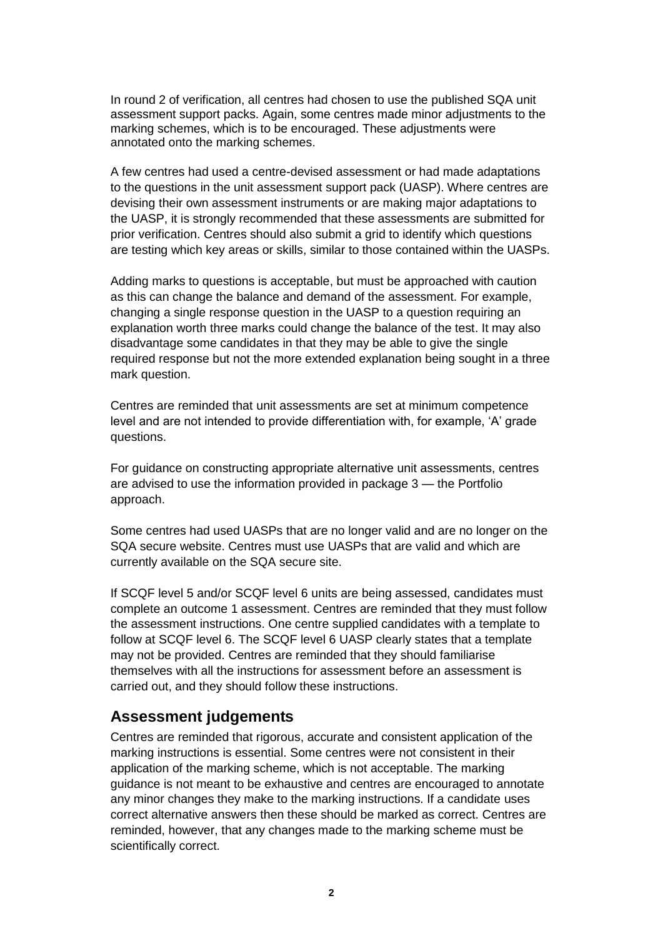In round 2 of verification, all centres had chosen to use the published SQA unit assessment support packs. Again, some centres made minor adjustments to the marking schemes, which is to be encouraged. These adjustments were annotated onto the marking schemes.

A few centres had used a centre-devised assessment or had made adaptations to the questions in the unit assessment support pack (UASP). Where centres are devising their own assessment instruments or are making major adaptations to the UASP, it is strongly recommended that these assessments are submitted for prior verification. Centres should also submit a grid to identify which questions are testing which key areas or skills, similar to those contained within the UASPs.

Adding marks to questions is acceptable, but must be approached with caution as this can change the balance and demand of the assessment. For example, changing a single response question in the UASP to a question requiring an explanation worth three marks could change the balance of the test. It may also disadvantage some candidates in that they may be able to give the single required response but not the more extended explanation being sought in a three mark question.

Centres are reminded that unit assessments are set at minimum competence level and are not intended to provide differentiation with, for example, 'A' grade questions.

For guidance on constructing appropriate alternative unit assessments, centres are advised to use the information provided in package 3 — the Portfolio approach.

Some centres had used UASPs that are no longer valid and are no longer on the SQA secure website. Centres must use UASPs that are valid and which are currently available on the SQA secure site.

If SCQF level 5 and/or SCQF level 6 units are being assessed, candidates must complete an outcome 1 assessment. Centres are reminded that they must follow the assessment instructions. One centre supplied candidates with a template to follow at SCQF level 6. The SCQF level 6 UASP clearly states that a template may not be provided. Centres are reminded that they should familiarise themselves with all the instructions for assessment before an assessment is carried out, and they should follow these instructions.

#### **Assessment judgements**

Centres are reminded that rigorous, accurate and consistent application of the marking instructions is essential. Some centres were not consistent in their application of the marking scheme, which is not acceptable. The marking guidance is not meant to be exhaustive and centres are encouraged to annotate any minor changes they make to the marking instructions. If a candidate uses correct alternative answers then these should be marked as correct. Centres are reminded, however, that any changes made to the marking scheme must be scientifically correct.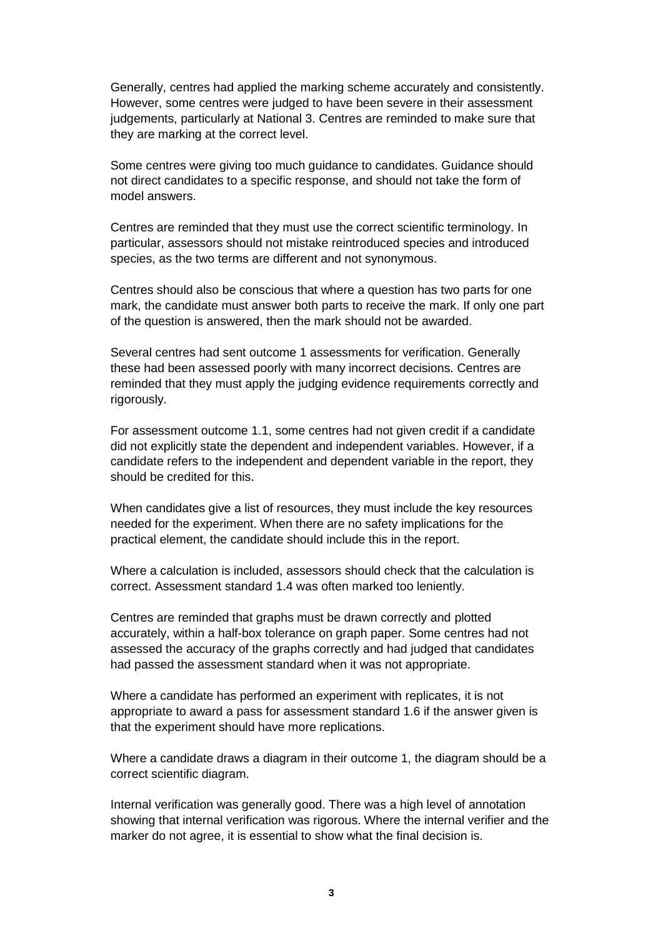Generally, centres had applied the marking scheme accurately and consistently. However, some centres were judged to have been severe in their assessment judgements, particularly at National 3. Centres are reminded to make sure that they are marking at the correct level.

Some centres were giving too much guidance to candidates. Guidance should not direct candidates to a specific response, and should not take the form of model answers.

Centres are reminded that they must use the correct scientific terminology. In particular, assessors should not mistake reintroduced species and introduced species, as the two terms are different and not synonymous.

Centres should also be conscious that where a question has two parts for one mark, the candidate must answer both parts to receive the mark. If only one part of the question is answered, then the mark should not be awarded.

Several centres had sent outcome 1 assessments for verification. Generally these had been assessed poorly with many incorrect decisions. Centres are reminded that they must apply the judging evidence requirements correctly and rigorously.

For assessment outcome 1.1, some centres had not given credit if a candidate did not explicitly state the dependent and independent variables. However, if a candidate refers to the independent and dependent variable in the report, they should be credited for this.

When candidates give a list of resources, they must include the key resources needed for the experiment. When there are no safety implications for the practical element, the candidate should include this in the report.

Where a calculation is included, assessors should check that the calculation is correct. Assessment standard 1.4 was often marked too leniently.

Centres are reminded that graphs must be drawn correctly and plotted accurately, within a half-box tolerance on graph paper. Some centres had not assessed the accuracy of the graphs correctly and had judged that candidates had passed the assessment standard when it was not appropriate.

Where a candidate has performed an experiment with replicates, it is not appropriate to award a pass for assessment standard 1.6 if the answer given is that the experiment should have more replications.

Where a candidate draws a diagram in their outcome 1, the diagram should be a correct scientific diagram.

Internal verification was generally good. There was a high level of annotation showing that internal verification was rigorous. Where the internal verifier and the marker do not agree, it is essential to show what the final decision is.